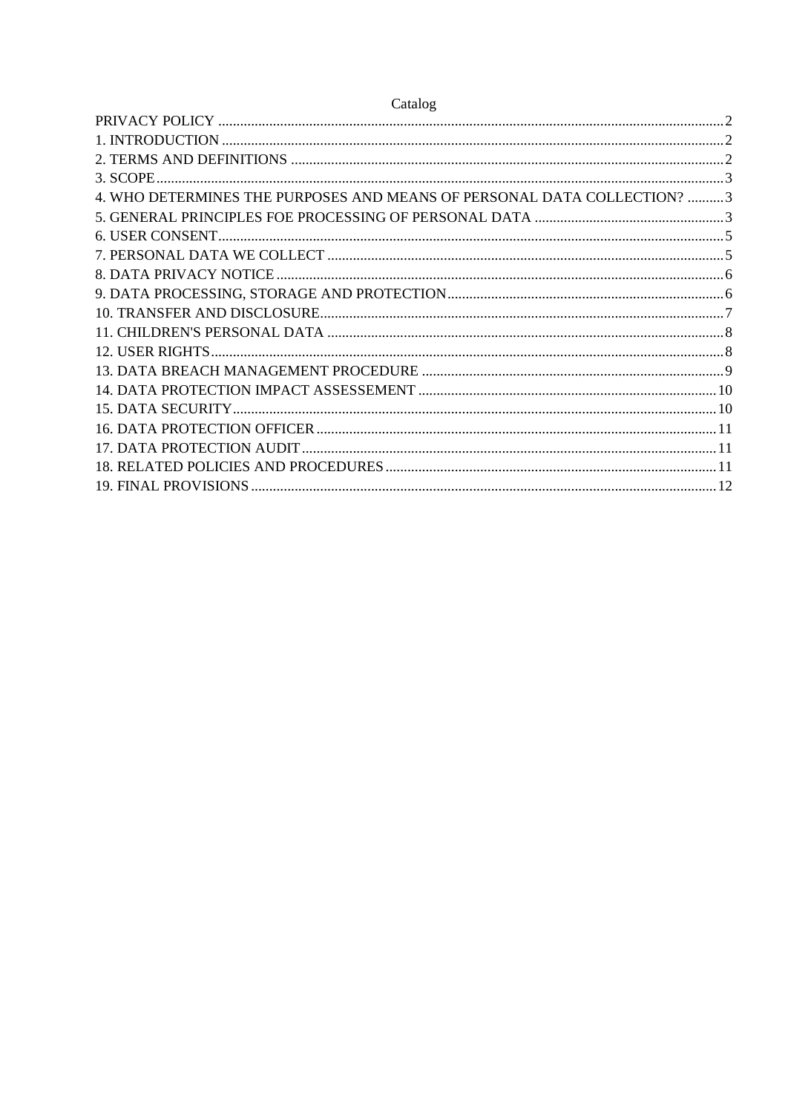| Catalog                                                                 |  |
|-------------------------------------------------------------------------|--|
|                                                                         |  |
|                                                                         |  |
|                                                                         |  |
|                                                                         |  |
| 4. WHO DETERMINES THE PURPOSES AND MEANS OF PERSONAL DATA COLLECTION? 3 |  |
|                                                                         |  |
|                                                                         |  |
|                                                                         |  |
|                                                                         |  |
|                                                                         |  |
|                                                                         |  |
|                                                                         |  |
|                                                                         |  |
| 13                                                                      |  |
|                                                                         |  |
|                                                                         |  |
|                                                                         |  |
|                                                                         |  |
|                                                                         |  |
|                                                                         |  |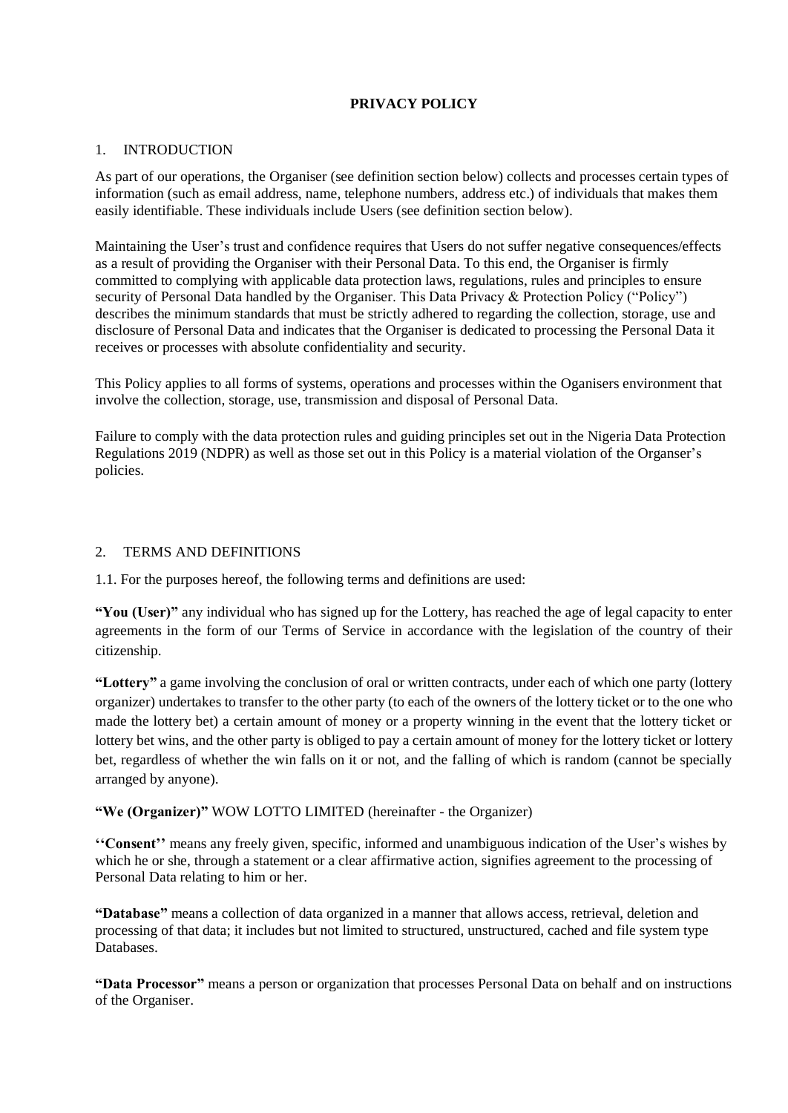# **PRIVACY POLICY**

### <span id="page-1-1"></span><span id="page-1-0"></span>1. INTRODUCTION

As part of our operations, the Organiser (see definition section below) collects and processes certain types of information (such as email address, name, telephone numbers, address etc.) of individuals that makes them easily identifiable. These individuals include Users (see definition section below).

Maintaining the User's trust and confidence requires that Users do not suffer negative consequences/effects as a result of providing the Organiser with their Personal Data. To this end, the Organiser is firmly committed to complying with applicable data protection laws, regulations, rules and principles to ensure security of Personal Data handled by the Organiser. This Data Privacy & Protection Policy ("Policy") describes the minimum standards that must be strictly adhered to regarding the collection, storage, use and disclosure of Personal Data and indicates that the Organiser is dedicated to processing the Personal Data it receives or processes with absolute confidentiality and security.

This Policy applies to all forms of systems, operations and processes within the Oganisers environment that involve the collection, storage, use, transmission and disposal of Personal Data.

Failure to comply with the data protection rules and guiding principles set out in the Nigeria Data Protection Regulations 2019 (NDPR) as well as those set out in this Policy is a material violation of the Organser's policies.

## <span id="page-1-2"></span>2. TERMS AND DEFINITIONS

1.1. For the purposes hereof, the following terms and definitions are used:

**"You (User)"** any individual who has signed up for the Lottery, has reached the age of legal capacity to enter agreements in the form of our Terms of Service in accordance with the legislation of the country of their citizenship.

**"Lottery"** a game involving the conclusion of oral or written contracts, under each of which one party (lottery organizer) undertakes to transfer to the other party (to each of the owners of the lottery ticket or to the one who made the lottery bet) a certain amount of money or a property winning in the event that the lottery ticket or lottery bet wins, and the other party is obliged to pay a certain amount of money for the lottery ticket or lottery bet, regardless of whether the win falls on it or not, and the falling of which is random (cannot be specially arranged by anyone).

**"We (Organizer)"** WOW LOTTO LIMITED (hereinafter - the Organizer)

**''Consent''** means any freely given, specific, informed and unambiguous indication of the User's wishes by which he or she, through a statement or a clear affirmative action, signifies agreement to the processing of Personal Data relating to him or her.

**"Database"** means a collection of data organized in a manner that allows access, retrieval, deletion and processing of that data; it includes but not limited to structured, unstructured, cached and file system type Databases.

**"Data Processor"** means a person or organization that processes Personal Data on behalf and on instructions of the Organiser.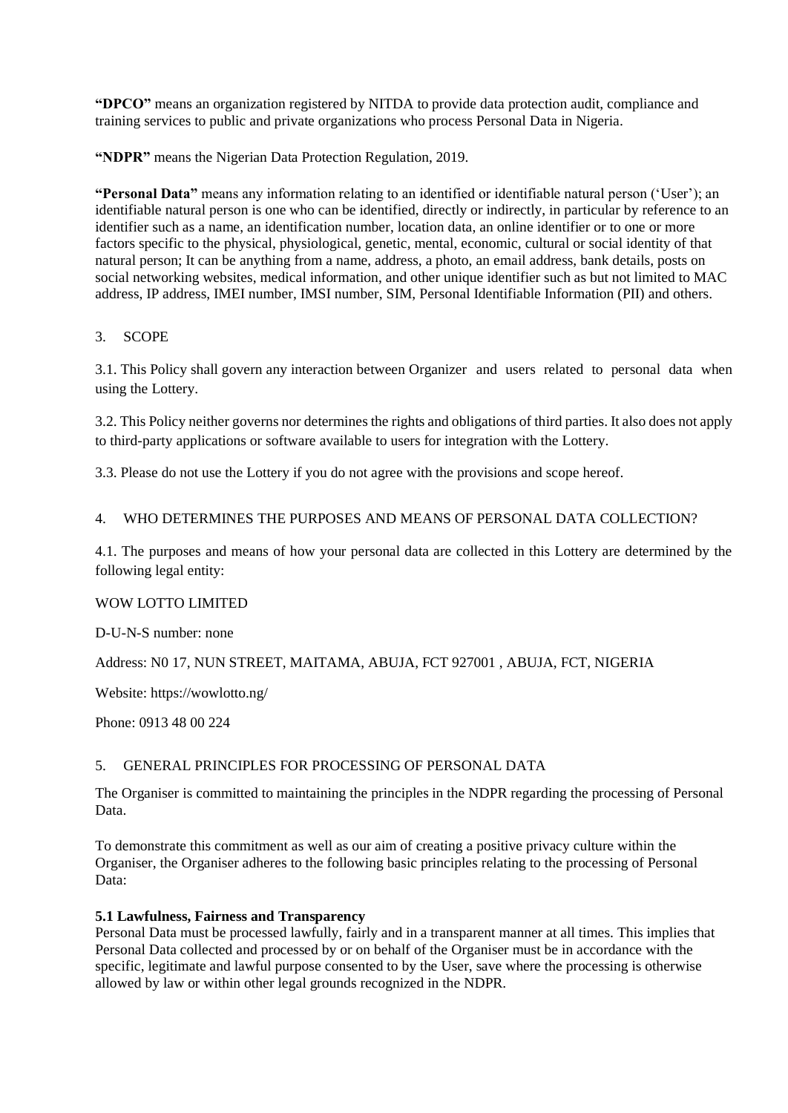**"DPCO"** means an organization registered by NITDA to provide data protection audit, compliance and training services to public and private organizations who process Personal Data in Nigeria.

**"NDPR"** means the Nigerian Data Protection Regulation, 2019.

**"Personal Data"** means any information relating to an identified or identifiable natural person ('User'); an identifiable natural person is one who can be identified, directly or indirectly, in particular by reference to an identifier such as a name, an identification number, location data, an online identifier or to one or more factors specific to the physical, physiological, genetic, mental, economic, cultural or social identity of that natural person; It can be anything from a name, address, a photo, an email address, bank details, posts on social networking websites, medical information, and other unique identifier such as but not limited to MAC address, IP address, IMEI number, IMSI number, SIM, Personal Identifiable Information (PII) and others.

## <span id="page-2-0"></span>3. SCOPE

3.1. This Policy shall govern any interaction between Organizer and users related to personal data when using the Lottery.

3.2. This Policy neither governs nor determines the rights and obligations of third parties. It also does not apply to third-party applications or software available to users for integration with the Lottery.

3.3. Please do not use the Lottery if you do not agree with the provisions and scope hereof.

### <span id="page-2-1"></span>4. WHO DETERMINES THE PURPOSES AND MEANS OF PERSONAL DATA COLLECTION?

4.1. The purposes and means of how your personal data are collected in this Lottery are determined by the following legal entity:

### WOW LOTTO LIMITED

D-U-N-S number: none

Address: N0 17, NUN STREET, MAITAMA, ABUJA, FCT 927001 , ABUJA, FCT, NIGERIA

Website: https://wowlotto.ng/

Phone: 0913 48 00 224

### <span id="page-2-2"></span>5. GENERAL PRINCIPLES FOR PROCESSING OF PERSONAL DATA

The Organiser is committed to maintaining the principles in the NDPR regarding the processing of Personal Data.

To demonstrate this commitment as well as our aim of creating a positive privacy culture within the Organiser, the Organiser adheres to the following basic principles relating to the processing of Personal Data:

### **5.1 Lawfulness, Fairness and Transparency**

Personal Data must be processed lawfully, fairly and in a transparent manner at all times. This implies that Personal Data collected and processed by or on behalf of the Organiser must be in accordance with the specific, legitimate and lawful purpose consented to by the User, save where the processing is otherwise allowed by law or within other legal grounds recognized in the NDPR.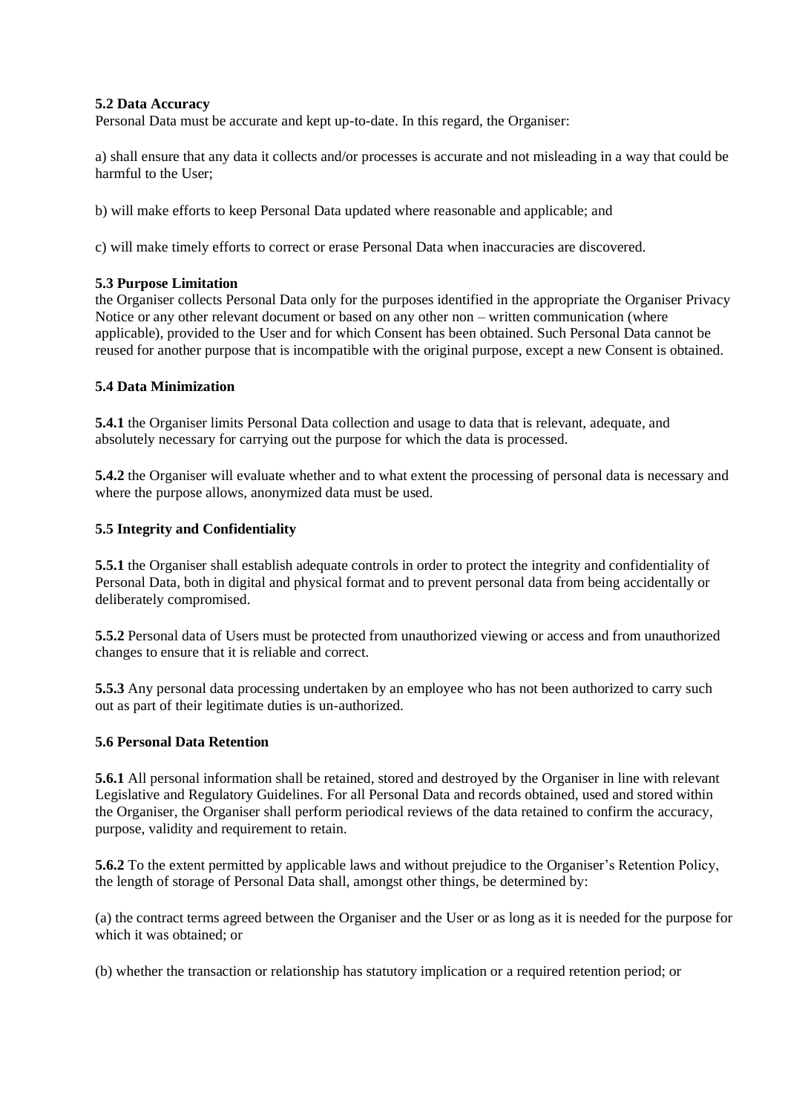### **5.2 Data Accuracy**

Personal Data must be accurate and kept up-to-date. In this regard, the Organiser:

a) shall ensure that any data it collects and/or processes is accurate and not misleading in a way that could be harmful to the User;

b) will make efforts to keep Personal Data updated where reasonable and applicable; and

c) will make timely efforts to correct or erase Personal Data when inaccuracies are discovered.

#### **5.3 Purpose Limitation**

the Organiser collects Personal Data only for the purposes identified in the appropriate the Organiser Privacy Notice or any other relevant document or based on any other non – written communication (where applicable), provided to the User and for which Consent has been obtained. Such Personal Data cannot be reused for another purpose that is incompatible with the original purpose, except a new Consent is obtained.

#### **5.4 Data Minimization**

**5.4.1** the Organiser limits Personal Data collection and usage to data that is relevant, adequate, and absolutely necessary for carrying out the purpose for which the data is processed.

**5.4.2** the Organiser will evaluate whether and to what extent the processing of personal data is necessary and where the purpose allows, anonymized data must be used.

#### **5.5 Integrity and Confidentiality**

**5.5.1** the Organiser shall establish adequate controls in order to protect the integrity and confidentiality of Personal Data, both in digital and physical format and to prevent personal data from being accidentally or deliberately compromised.

**5.5.2** Personal data of Users must be protected from unauthorized viewing or access and from unauthorized changes to ensure that it is reliable and correct.

**5.5.3** Any personal data processing undertaken by an employee who has not been authorized to carry such out as part of their legitimate duties is un-authorized.

### **5.6 Personal Data Retention**

**5.6.1** All personal information shall be retained, stored and destroyed by the Organiser in line with relevant Legislative and Regulatory Guidelines. For all Personal Data and records obtained, used and stored within the Organiser, the Organiser shall perform periodical reviews of the data retained to confirm the accuracy, purpose, validity and requirement to retain.

**5.6.2** To the extent permitted by applicable laws and without prejudice to the Organiser's Retention Policy, the length of storage of Personal Data shall, amongst other things, be determined by:

(a) the contract terms agreed between the Organiser and the User or as long as it is needed for the purpose for which it was obtained; or

(b) whether the transaction or relationship has statutory implication or a required retention period; or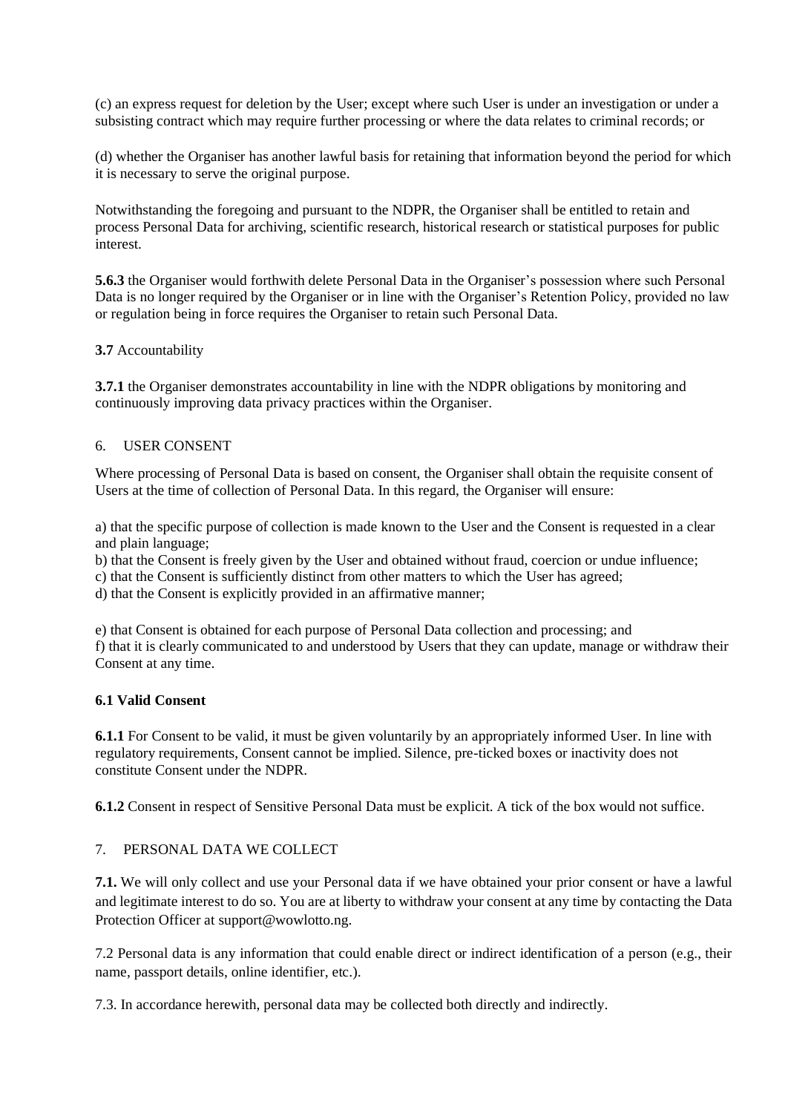(c) an express request for deletion by the User; except where such User is under an investigation or under a subsisting contract which may require further processing or where the data relates to criminal records; or

(d) whether the Organiser has another lawful basis for retaining that information beyond the period for which it is necessary to serve the original purpose.

Notwithstanding the foregoing and pursuant to the NDPR, the Organiser shall be entitled to retain and process Personal Data for archiving, scientific research, historical research or statistical purposes for public interest.

**5.6.3** the Organiser would forthwith delete Personal Data in the Organiser's possession where such Personal Data is no longer required by the Organiser or in line with the Organiser's Retention Policy, provided no law or regulation being in force requires the Organiser to retain such Personal Data.

### **3.7** Accountability

**3.7.1** the Organiser demonstrates accountability in line with the NDPR obligations by monitoring and continuously improving data privacy practices within the Organiser.

#### <span id="page-4-0"></span>6. USER CONSENT

Where processing of Personal Data is based on consent, the Organiser shall obtain the requisite consent of Users at the time of collection of Personal Data. In this regard, the Organiser will ensure:

a) that the specific purpose of collection is made known to the User and the Consent is requested in a clear and plain language;

b) that the Consent is freely given by the User and obtained without fraud, coercion or undue influence;

c) that the Consent is sufficiently distinct from other matters to which the User has agreed;

d) that the Consent is explicitly provided in an affirmative manner;

e) that Consent is obtained for each purpose of Personal Data collection and processing; and f) that it is clearly communicated to and understood by Users that they can update, manage or withdraw their Consent at any time.

### **6.1 Valid Consent**

**6.1.1** For Consent to be valid, it must be given voluntarily by an appropriately informed User. In line with regulatory requirements, Consent cannot be implied. Silence, pre-ticked boxes or inactivity does not constitute Consent under the NDPR.

**6.1.2** Consent in respect of Sensitive Personal Data must be explicit. A tick of the box would not suffice.

# <span id="page-4-1"></span>7. PERSONAL DATA WE COLLECT

**7.1.** We will only collect and use your Personal data if we have obtained your prior consent or have a lawful and legitimate interest to do so. You are at liberty to withdraw your consent at any time by contacting the Data Protection Officer at support@wowlotto.ng.

7.2 Personal data is any information that could enable direct or indirect identification of a person (e.g., their name, passport details, online identifier, etc.).

7.3. In accordance herewith, personal data may be collected both directly and indirectly.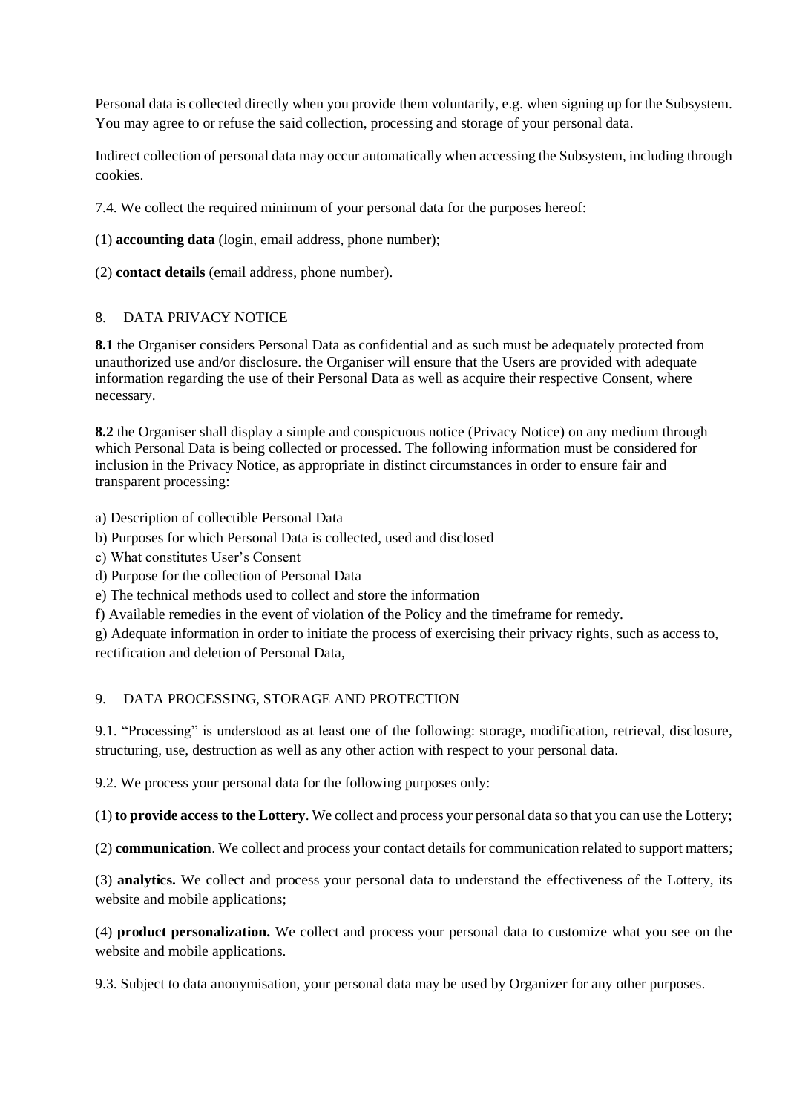Personal data is collected directly when you provide them voluntarily, e.g. when signing up for the Subsystem. You may agree to or refuse the said collection, processing and storage of your personal data.

Indirect collection of personal data may occur automatically when accessing the Subsystem, including through cookies.

7.4. We collect the required minimum of your personal data for the purposes hereof:

## (1) **accounting data** (login, email address, phone number);

(2) **contact details** (email address, phone number).

## <span id="page-5-0"></span>8. DATA PRIVACY NOTICE

**8.1** the Organiser considers Personal Data as confidential and as such must be adequately protected from unauthorized use and/or disclosure. the Organiser will ensure that the Users are provided with adequate information regarding the use of their Personal Data as well as acquire their respective Consent, where necessary.

**8.2** the Organiser shall display a simple and conspicuous notice (Privacy Notice) on any medium through which Personal Data is being collected or processed. The following information must be considered for inclusion in the Privacy Notice, as appropriate in distinct circumstances in order to ensure fair and transparent processing:

a) Description of collectible Personal Data

b) Purposes for which Personal Data is collected, used and disclosed

- c) What constitutes User's Consent
- d) Purpose for the collection of Personal Data

e) The technical methods used to collect and store the information

f) Available remedies in the event of violation of the Policy and the timeframe for remedy.

g) Adequate information in order to initiate the process of exercising their privacy rights, such as access to, rectification and deletion of Personal Data,

### <span id="page-5-1"></span>9. DATA PROCESSING, STORAGE AND PROTECTION

9.1. "Processing" is understood as at least one of the following: storage, modification, retrieval, disclosure, structuring, use, destruction as well as any other action with respect to your personal data.

9.2. We process your personal data for the following purposes only:

(1) **to provide access to the Lottery**. We collect and process your personal data so that you can use the Lottery;

(2) **communication**. We collect and process your contact details for communication related to support matters;

(3) **analytics.** We collect and process your personal data to understand the effectiveness of the Lottery, its website and mobile applications;

(4) **product personalization.** We collect and process your personal data to customize what you see on the website and mobile applications.

9.3. Subject to data anonymisation, your personal data may be used by Organizer for any other purposes.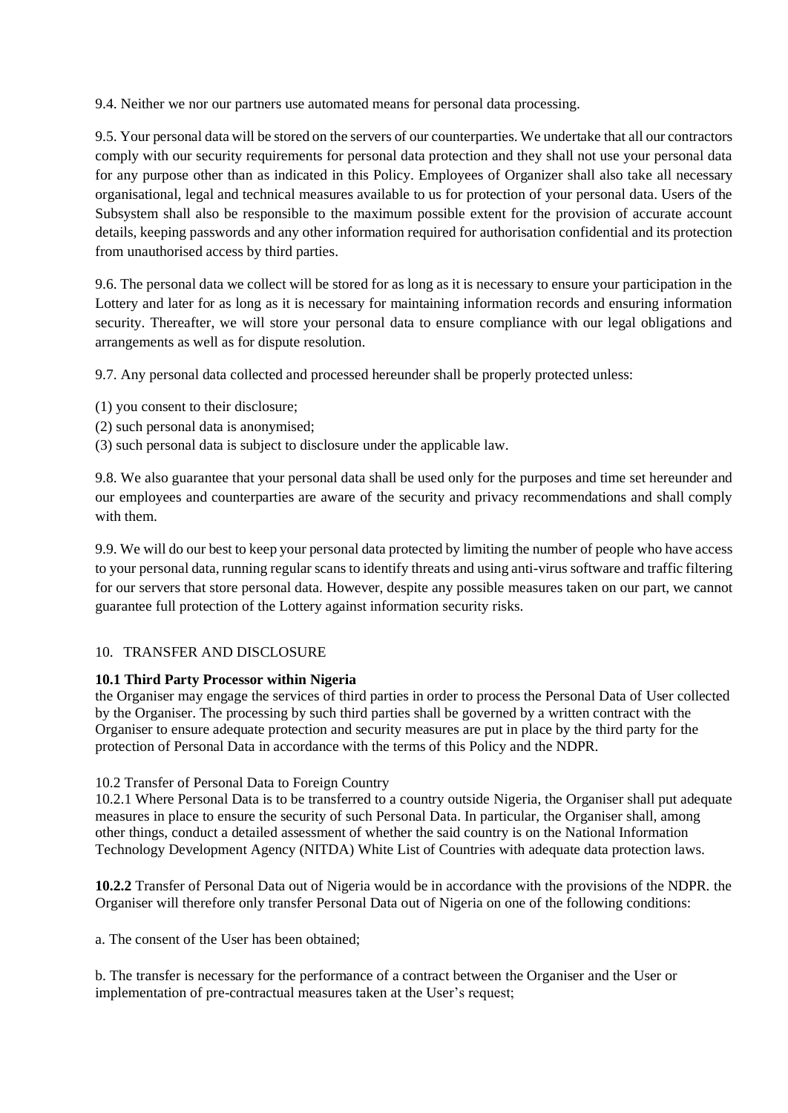9.4. Neither we nor our partners use automated means for personal data processing.

9.5. Your personal data will be stored on the servers of our counterparties. We undertake that all our contractors comply with our security requirements for personal data protection and they shall not use your personal data for any purpose other than as indicated in this Policy. Employees of Organizer shall also take all necessary organisational, legal and technical measures available to us for protection of your personal data. Users of the Subsystem shall also be responsible to the maximum possible extent for the provision of accurate account details, keeping passwords and any other information required for authorisation confidential and its protection from unauthorised access by third parties.

9.6. The personal data we collect will be stored for as long as it is necessary to ensure your participation in the Lottery and later for as long as it is necessary for maintaining information records and ensuring information security. Thereafter, we will store your personal data to ensure compliance with our legal obligations and arrangements as well as for dispute resolution.

9.7. Any personal data collected and processed hereunder shall be properly protected unless:

- (1) you consent to their disclosure;
- (2) such personal data is anonymised;
- (3) such personal data is subject to disclosure under the applicable law.

9.8. We also guarantee that your personal data shall be used only for the purposes and time set hereunder and our employees and counterparties are aware of the security and privacy recommendations and shall comply with them.

9.9. We will do our best to keep your personal data protected by limiting the number of people who have access to your personal data, running regular scans to identify threats and using anti-virus software and traffic filtering for our servers that store personal data. However, despite any possible measures taken on our part, we cannot guarantee full protection of the Lottery against information security risks.

### <span id="page-6-0"></span>10. TRANSFER AND DISCLOSURE

### **10.1 Third Party Processor within Nigeria**

the Organiser may engage the services of third parties in order to process the Personal Data of User collected by the Organiser. The processing by such third parties shall be governed by a written contract with the Organiser to ensure adequate protection and security measures are put in place by the third party for the protection of Personal Data in accordance with the terms of this Policy and the NDPR.

### 10.2 Transfer of Personal Data to Foreign Country

10.2.1 Where Personal Data is to be transferred to a country outside Nigeria, the Organiser shall put adequate measures in place to ensure the security of such Personal Data. In particular, the Organiser shall, among other things, conduct a detailed assessment of whether the said country is on the National Information Technology Development Agency (NITDA) White List of Countries with adequate data protection laws.

**10.2.2** Transfer of Personal Data out of Nigeria would be in accordance with the provisions of the NDPR. the Organiser will therefore only transfer Personal Data out of Nigeria on one of the following conditions:

a. The consent of the User has been obtained;

b. The transfer is necessary for the performance of a contract between the Organiser and the User or implementation of pre-contractual measures taken at the User's request;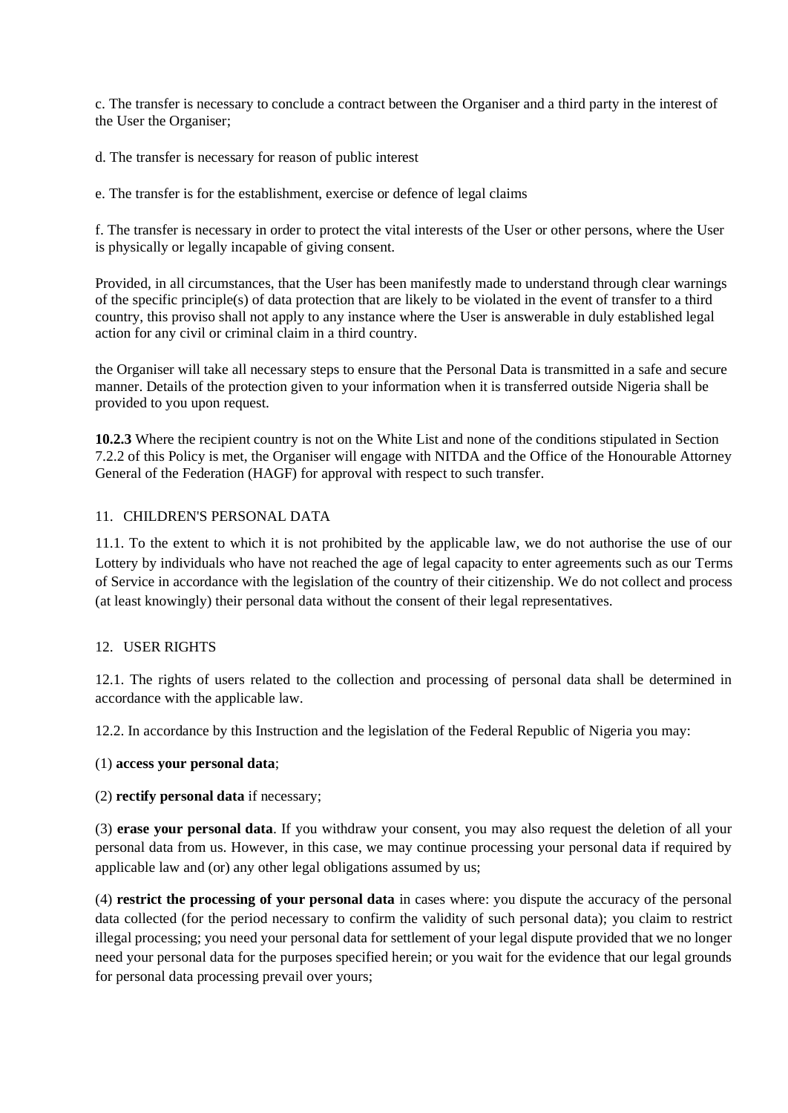c. The transfer is necessary to conclude a contract between the Organiser and a third party in the interest of the User the Organiser;

d. The transfer is necessary for reason of public interest

e. The transfer is for the establishment, exercise or defence of legal claims

f. The transfer is necessary in order to protect the vital interests of the User or other persons, where the User is physically or legally incapable of giving consent.

Provided, in all circumstances, that the User has been manifestly made to understand through clear warnings of the specific principle(s) of data protection that are likely to be violated in the event of transfer to a third country, this proviso shall not apply to any instance where the User is answerable in duly established legal action for any civil or criminal claim in a third country.

the Organiser will take all necessary steps to ensure that the Personal Data is transmitted in a safe and secure manner. Details of the protection given to your information when it is transferred outside Nigeria shall be provided to you upon request.

**10.2.3** Where the recipient country is not on the White List and none of the conditions stipulated in Section 7.2.2 of this Policy is met, the Organiser will engage with NITDA and the Office of the Honourable Attorney General of the Federation (HAGF) for approval with respect to such transfer.

## <span id="page-7-0"></span>11. CHILDREN'S PERSONAL DATA

11.1. To the extent to which it is not prohibited by the applicable law, we do not authorise the use of our Lottery by individuals who have not reached the age of legal capacity to enter agreements such as our Terms of Service in accordance with the legislation of the country of their citizenship. We do not collect and process (at least knowingly) their personal data without the consent of their legal representatives.

### <span id="page-7-1"></span>12. USER RIGHTS

12.1. The rights of users related to the collection and processing of personal data shall be determined in accordance with the applicable law.

12.2. In accordance by this Instruction and the legislation of the Federal Republic of Nigeria you may:

### (1) **access your personal data**;

(2) **rectify personal data** if necessary;

(3) **erase your personal data**. If you withdraw your consent, you may also request the deletion of all your personal data from us. However, in this case, we may continue processing your personal data if required by applicable law and (or) any other legal obligations assumed by us;

(4) **restrict the processing of your personal data** in cases where: you dispute the accuracy of the personal data collected (for the period necessary to confirm the validity of such personal data); you claim to restrict illegal processing; you need your personal data for settlement of your legal dispute provided that we no longer need your personal data for the purposes specified herein; or you wait for the evidence that our legal grounds for personal data processing prevail over yours;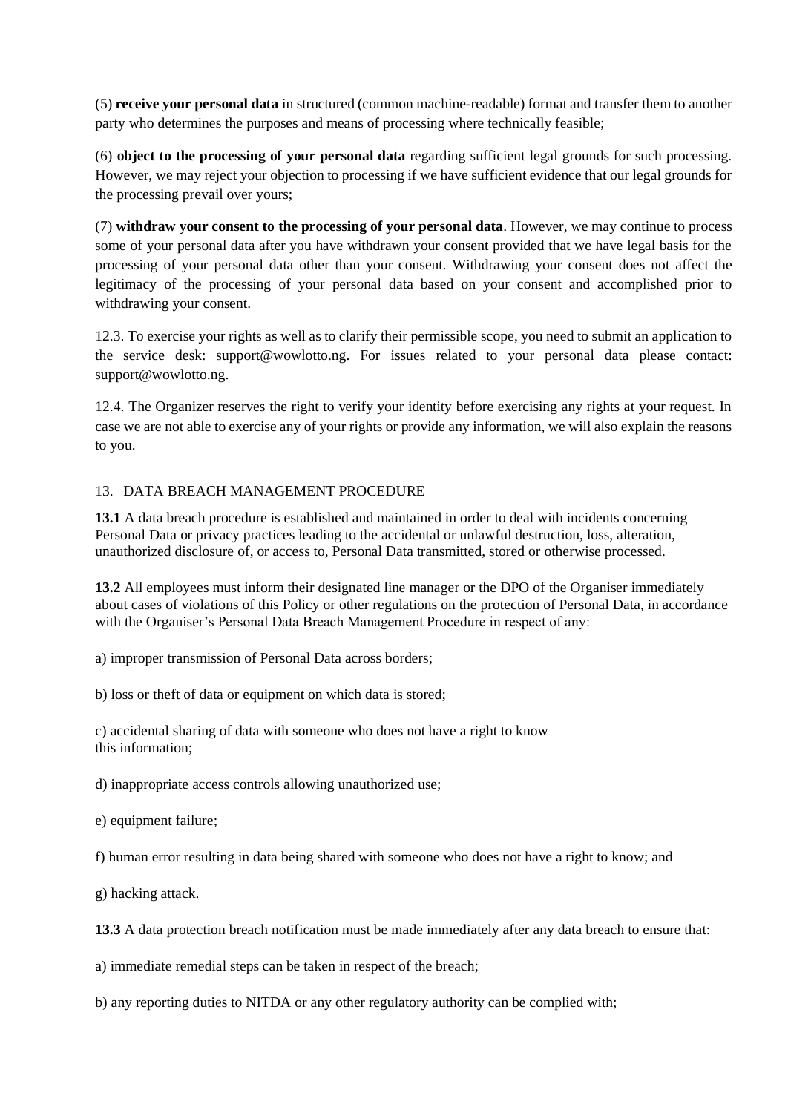(5) **receive your personal data** in structured (common machine-readable) format and transfer them to another party who determines the purposes and means of processing where technically feasible;

(6) **object to the processing of your personal data** regarding sufficient legal grounds for such processing. However, we may reject your objection to processing if we have sufficient evidence that our legal grounds for the processing prevail over yours;

(7) **withdraw your consent to the processing of your personal data**. However, we may continue to process some of your personal data after you have withdrawn your consent provided that we have legal basis for the processing of your personal data other than your consent. Withdrawing your consent does not affect the legitimacy of the processing of your personal data based on your consent and accomplished prior to withdrawing your consent.

12.3. To exercise your rights as well as to clarify their permissible scope, you need to submit an application to the service desk: support@wowlotto.ng. For issues related to your personal data please contact: support@wowlotto.ng.

12.4. The Organizer reserves the right to verify your identity before exercising any rights at your request. In case we are not able to exercise any of your rights or provide any information, we will also explain the reasons to you.

# <span id="page-8-0"></span>13. DATA BREACH MANAGEMENT PROCEDURE

**13.1** A data breach procedure is established and maintained in order to deal with incidents concerning Personal Data or privacy practices leading to the accidental or unlawful destruction, loss, alteration, unauthorized disclosure of, or access to, Personal Data transmitted, stored or otherwise processed.

**13.2** All employees must inform their designated line manager or the DPO of the Organiser immediately about cases of violations of this Policy or other regulations on the protection of Personal Data, in accordance with the Organiser's Personal Data Breach Management Procedure in respect of any:

a) improper transmission of Personal Data across borders;

b) loss or theft of data or equipment on which data is stored;

c) accidental sharing of data with someone who does not have a right to know this information;

d) inappropriate access controls allowing unauthorized use;

e) equipment failure;

f) human error resulting in data being shared with someone who does not have a right to know; and

g) hacking attack.

**13.3** A data protection breach notification must be made immediately after any data breach to ensure that:

a) immediate remedial steps can be taken in respect of the breach;

b) any reporting duties to NITDA or any other regulatory authority can be complied with;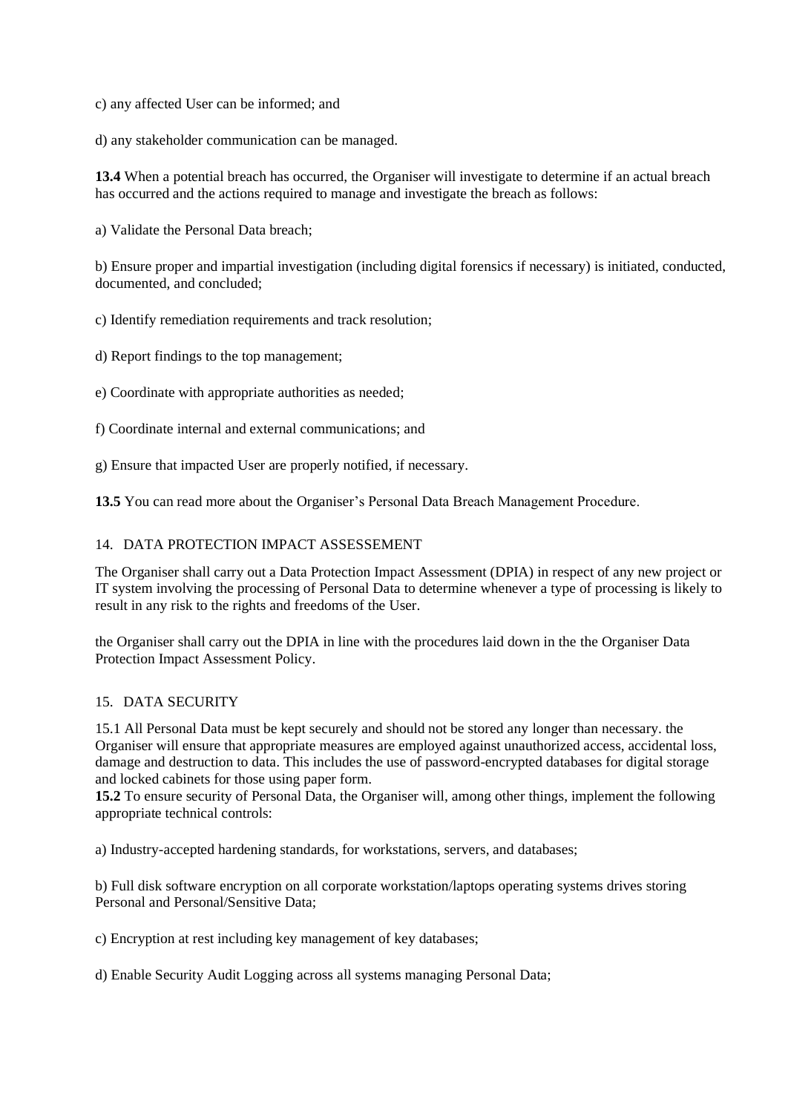c) any affected User can be informed; and

d) any stakeholder communication can be managed.

**13.4** When a potential breach has occurred, the Organiser will investigate to determine if an actual breach has occurred and the actions required to manage and investigate the breach as follows:

a) Validate the Personal Data breach;

b) Ensure proper and impartial investigation (including digital forensics if necessary) is initiated, conducted, documented, and concluded;

c) Identify remediation requirements and track resolution;

d) Report findings to the top management;

e) Coordinate with appropriate authorities as needed;

f) Coordinate internal and external communications; and

g) Ensure that impacted User are properly notified, if necessary.

**13.5** You can read more about the Organiser's Personal Data Breach Management Procedure.

## <span id="page-9-0"></span>14. DATA PROTECTION IMPACT ASSESSEMENT

The Organiser shall carry out a Data Protection Impact Assessment (DPIA) in respect of any new project or IT system involving the processing of Personal Data to determine whenever a type of processing is likely to result in any risk to the rights and freedoms of the User.

the Organiser shall carry out the DPIA in line with the procedures laid down in the the Organiser Data Protection Impact Assessment Policy.

### <span id="page-9-1"></span>15. DATA SECURITY

15.1 All Personal Data must be kept securely and should not be stored any longer than necessary. the Organiser will ensure that appropriate measures are employed against unauthorized access, accidental loss, damage and destruction to data. This includes the use of password-encrypted databases for digital storage and locked cabinets for those using paper form.

**15.2** To ensure security of Personal Data, the Organiser will, among other things, implement the following appropriate technical controls:

a) Industry-accepted hardening standards, for workstations, servers, and databases;

b) Full disk software encryption on all corporate workstation/laptops operating systems drives storing Personal and Personal/Sensitive Data;

c) Encryption at rest including key management of key databases;

d) Enable Security Audit Logging across all systems managing Personal Data;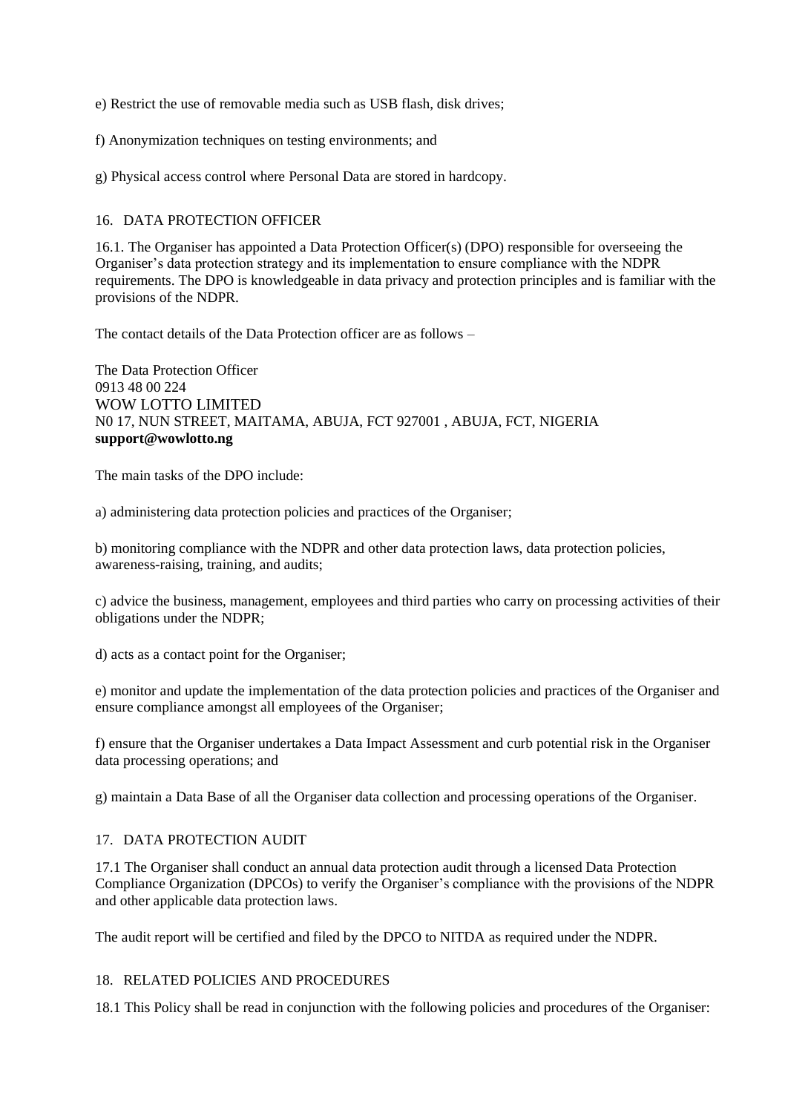e) Restrict the use of removable media such as USB flash, disk drives;

f) Anonymization techniques on testing environments; and

g) Physical access control where Personal Data are stored in hardcopy.

## <span id="page-10-0"></span>16. DATA PROTECTION OFFICER

16.1. The Organiser has appointed a Data Protection Officer(s) (DPO) responsible for overseeing the Organiser's data protection strategy and its implementation to ensure compliance with the NDPR requirements. The DPO is knowledgeable in data privacy and protection principles and is familiar with the provisions of the NDPR.

The contact details of the Data Protection officer are as follows –

The Data Protection Officer 0913 48 00 224 WOW LOTTO LIMITED N0 17, NUN STREET, MAITAMA, ABUJA, FCT 927001 , ABUJA, FCT, NIGERIA **support@wowlotto.ng**

The main tasks of the DPO include:

a) administering data protection policies and practices of the Organiser;

b) monitoring compliance with the NDPR and other data protection laws, data protection policies, awareness-raising, training, and audits;

c) advice the business, management, employees and third parties who carry on processing activities of their obligations under the NDPR;

d) acts as a contact point for the Organiser;

e) monitor and update the implementation of the data protection policies and practices of the Organiser and ensure compliance amongst all employees of the Organiser;

f) ensure that the Organiser undertakes a Data Impact Assessment and curb potential risk in the Organiser data processing operations; and

g) maintain a Data Base of all the Organiser data collection and processing operations of the Organiser.

# <span id="page-10-1"></span>17. DATA PROTECTION AUDIT

17.1 The Organiser shall conduct an annual data protection audit through a licensed Data Protection Compliance Organization (DPCOs) to verify the Organiser's compliance with the provisions of the NDPR and other applicable data protection laws.

The audit report will be certified and filed by the DPCO to NITDA as required under the NDPR.

### <span id="page-10-2"></span>18. RELATED POLICIES AND PROCEDURES

18.1 This Policy shall be read in conjunction with the following policies and procedures of the Organiser: